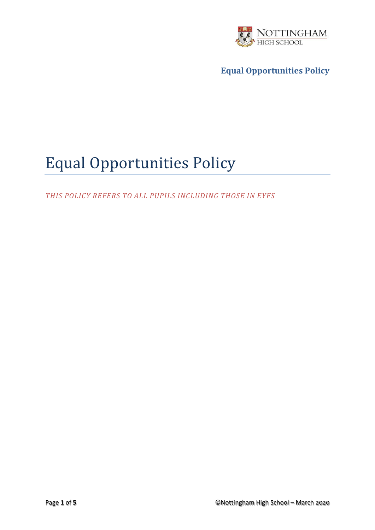

# Equal Opportunities Policy

*THIS POLICY REFERS TO ALL PUPILS INCLUDING THOSE IN EYFS*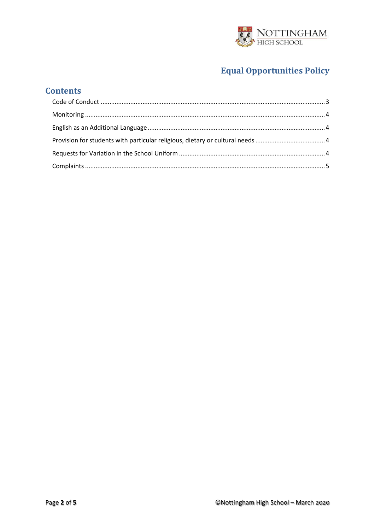

### **Contents**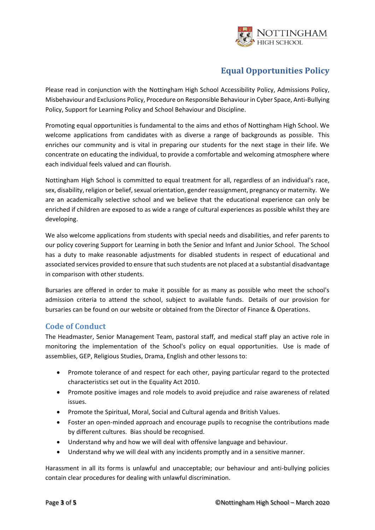

Please read in conjunction with the Nottingham High School Accessibility Policy, Admissions Policy, Misbehaviour and Exclusions Policy, Procedure on Responsible Behaviour in Cyber Space, Anti-Bullying Policy, Support for Learning Policy and School Behaviour and Discipline.

Promoting equal opportunities is fundamental to the aims and ethos of Nottingham High School. We welcome applications from candidates with as diverse a range of backgrounds as possible. This enriches our community and is vital in preparing our students for the next stage in their life. We concentrate on educating the individual, to provide a comfortable and welcoming atmosphere where each individual feels valued and can flourish.

Nottingham High School is committed to equal treatment for all, regardless of an individual's race, sex, disability, religion or belief, sexual orientation, gender reassignment, pregnancy or maternity. We are an academically selective school and we believe that the educational experience can only be enriched if children are exposed to as wide a range of cultural experiences as possible whilst they are developing.

We also welcome applications from students with special needs and disabilities, and refer parents to our policy covering Support for Learning in both the Senior and Infant and Junior School. The School has a duty to make reasonable adjustments for disabled students in respect of educational and associated services provided to ensure that such students are not placed at a substantial disadvantage in comparison with other students.

Bursaries are offered in order to make it possible for as many as possible who meet the school's admission criteria to attend the school, subject to available funds. Details of our provision for bursaries can be found on our website or obtained from the Director of Finance & Operations.

#### <span id="page-2-0"></span>**Code of Conduct**

The Headmaster, Senior Management Team, pastoral staff, and medical staff play an active role in monitoring the implementation of the School's policy on equal opportunities. Use is made of assemblies, GEP, Religious Studies, Drama, English and other lessons to:

- Promote tolerance of and respect for each other, paying particular regard to the protected characteristics set out in the Equality Act 2010.
- Promote positive images and role models to avoid prejudice and raise awareness of related issues.
- Promote the Spiritual, Moral, Social and Cultural agenda and British Values.
- Foster an open-minded approach and encourage pupils to recognise the contributions made by different cultures. Bias should be recognised.
- Understand why and how we will deal with offensive language and behaviour.
- Understand why we will deal with any incidents promptly and in a sensitive manner.

Harassment in all its forms is unlawful and unacceptable; our behaviour and anti-bullying policies contain clear procedures for dealing with unlawful discrimination.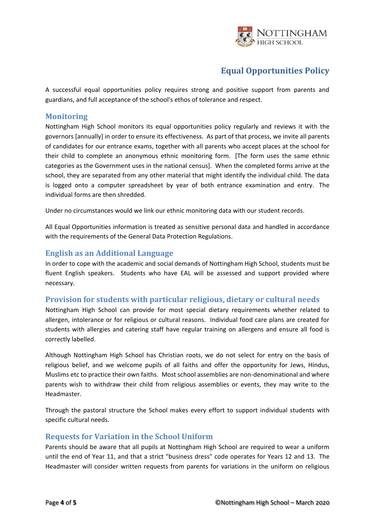

A successful equal opportunities policy requires strong and positive support from parents and guardians, and full acceptance of the school's ethos of tolerance and respect.

#### <span id="page-3-0"></span>**Monitoring**

Nottingham High School monitors its equal opportunities policy regularly and reviews it with the governors [annually] in order to ensure its effectiveness. As part of that process, we invite all parents of candidates for our entrance exams, together with all parents who accept places at the school for their child to complete an anonymous ethnic monitoring form. [The form uses the same ethnic categories as the Government uses in the national census]. When the completed forms arrive at the school, they are separated from any other material that might identify the individual child. The data is logged onto a computer spreadsheet by year of both entrance examination and entry. The individual forms are then shredded.

Under no circumstances would we link our ethnic monitoring data with our student records.

All Equal Opportunities information is treated as sensitive personal data and handled in accordance with the requirements of the General Data Protection Regulations.

#### <span id="page-3-1"></span>**English as an Additional Language**

In order to cope with the academic and social demands of Nottingham High School, students must be fluent English speakers. Students who have EAL will be assessed and support provided where necessary.

#### <span id="page-3-2"></span>**Provision for students with particular religious, dietary or cultural needs**

Nottingham High School can provide for most special dietary requirements whether related to allergen, intolerance or for religious or cultural reasons. Individual food care plans are created for students with allergies and catering staff have regular training on allergens and ensure all food is correctly labelled.

Although Nottingham High School has Christian roots, we do not select for entry on the basis of religious belief, and we welcome pupils of all faiths and offer the opportunity for Jews, Hindus, Muslims etc to practice their own faiths. Most school assemblies are non-denominational and where parents wish to withdraw their child from religious assemblies or events, they may write to the Headmaster.

Through the pastoral structure the School makes every effort to support individual students with specific cultural needs.

#### <span id="page-3-3"></span>**Requests for Variation in the School Uniform**

Parents should be aware that all pupils at Nottingham High School are required to wear a uniform until the end of Year 11, and that a strict "business dress" code operates for Years 12 and 13. The Headmaster will consider written requests from parents for variations in the uniform on religious